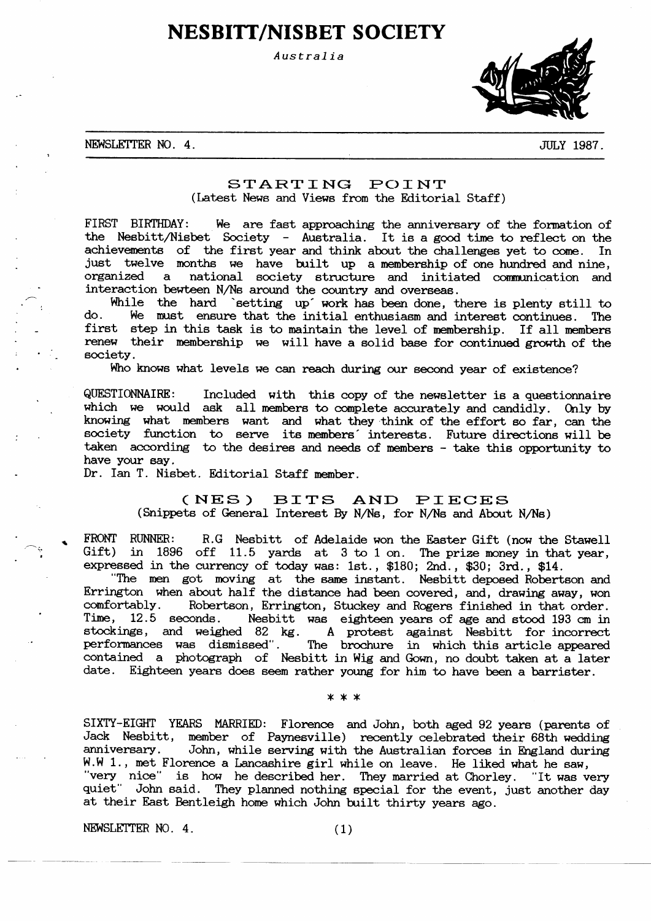# **NESBITT/NISBET SOCIETY**

Australia



NEWSLETTER NO. 4.

**JULY 1987.** 

# STARTING POINT (Latest News and Views from the Editorial Staff)

FIRST BIRTHDAY: We are fast approaching the anniversary of the formation of the Nesbitt/Nisbet Society - Australia. It is a good time to reflect on the achievements of the first year and think about the challenges yet to come. In just twelve months we have built up a membership of one hundred and nine, organized national society structure and initiated communication and  $\overline{a}$ interaction bewteen N/Ns around the country and overseas.

While the hard `setting up' work has been done, there is plenty still to do. We must ensure that the initial enthusiasm and interest continues. The first step in this task is to maintain the level of membership. If all members renew their membership we will have a solid base for continued growth of the society.

Who knows what levels we can reach during our second year of existence?

QUESTIONNAIRE: Included with this copy of the newsletter is a questionnaire which we would ask all members to complete accurately and candidly. Only by knowing what members want and what they think of the effort so far, can the society function to serve its members' interests. Future directions will be taken according to the desires and needs of members - take this opportunity to have your say.

Dr. Ian T. Nisbet. Editorial Staff member.

#### BITS AND  $(NES)$ PIECES (Snippets of General Interest By N/Ns, for N/Ns and About N/Ns)

FRONT RUNNER: R.G Nesbitt of Adelaide won the Easter Gift (now the Stawell Gift) in 1896 off 11.5 yards at 3 to 1 on. The prize money in that year, expressed in the currency of today was: 1st., \$180; 2nd., \$30; 3rd., \$14.

"The men got moving at the same instant. Nesbitt deposed Robertson and Errington when about half the distance had been covered, and, drawing away, won comfortably. Robertson, Errington, Stuckey and Rogers finished in that order. Time.  $12.5$  seconds. Nesbitt was eighteen years of age and stood 193 cm in stockings, and weighed 82 kg. A protest against Nesbitt for incorrect<br>performances was dismissed". The brochure in which this article appeared<br>contained a photograph of Nesbitt in Wig and Gown, no doubt taken at a later date. Eighteen years does seem rather young for him to have been a barrister.

\* \* \*

SIXTY-EIGHT YEARS MARRIED: Florence and John, both aged 92 years (parents of Jack Nesbitt, member of Paynesville) recently celebrated their 68th wedding anniversary. John, while serving with the Australian forces in England during W.W 1., met Florence a Lancashire girl while on leave. He liked what he saw, "very nice" is how he described her. They married at Chorley. "It was very quiet" John said. They planned nothing special for the event, just another day at their East Bentleigh home which John built thirty years ago.

NEWSLETTER NO. 4.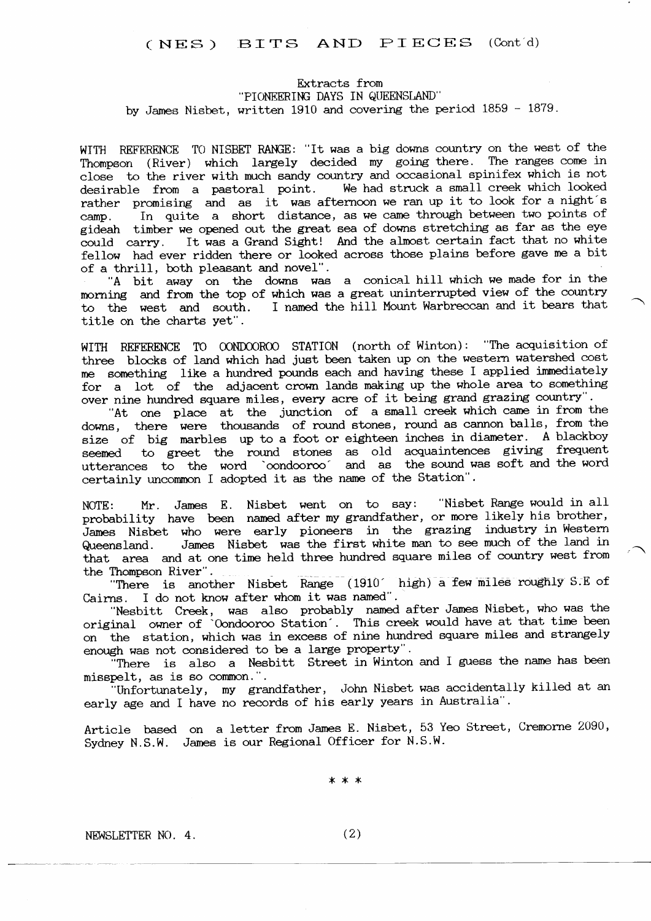# (NES) BITS AND PIECES (Cont'd)

# Extracts from "PIONEERING DAYS IN QUEENSLAND" by James Nisbet, written 1910 and covering the period 1859 - 1879.

WITH REFERENCE TO NISBET RANGE: "It was a big downs country on the west of the Thompson (River) which largely decided my going there. The ranges come in close to the river with much sandy country and occasional spinifex which is not desirable from a pastoral point. We had struck a small creek which looked rather promising and as it was afternoon we ran up it to look for a night's In quite a short distance, as we came through between two points of  $cam<sub>D</sub>$ . gideah timber we opened out the great sea of downs stretching as far as the eye could carry. It was a Grand Sight! And the almost certain fact that no white fellow had ever ridden there or looked across those plains before gave me a bit of a thrill, both pleasant and novel".

"A bit away on the downs was a conical hill which we made for in the morning and from the top of which was a great uninterrupted view of the country to the west and south. I named the hill Mount Warbreccan and it bears that title on the charts yet".

WITH REFERENCE TO OONDOOROO STATION (north of Winton): "The acquisition of three blocks of land which had just been taken up on the western watershed cost me something like a hundred pounds each and having these I applied immediately for a lot of the adjacent crown lands making up the whole area to something over nine hundred square miles, every acre of it being grand grazing country".

"At one place at the junction of a small creek which came in from the downs, there were thousands of round stones, round as cannon balls, from the size of big marbles up to a foot or eighteen inches in diameter. A blackboy seemed to greet the round stones as old acquaintences giving frequent utterances to the word 'condoorco' and as the sound was soft and the word certainly uncommon I adopted it as the name of the Station".

NOTE: Mr. James E. Nisbet went on to say: "Nisbet Range would in all probability have been named after my grandfather, or more likely his brother, James Nisbet who were early pioneers in the grazing industry in Western Queensland. James Nisbet was the first white man to see much of the land in that area and at one time held three hundred square miles of country west from the Thompson River".

"There is another Nisbet Range (1910 high) a few miles roughly S.E of Cairns. I do not know after whom it was named".

"Nesbitt Creek, was also probably named after James Nisbet, who was the original owner of 'Oondooroo Station'. This creek would have at that time been on the station, which was in excess of nine hundred square miles and strangely enough was not considered to be a large property".

There is also a Nesbitt Street in Winton and I guess the name has been misspelt, as is so common.".

"Unfortunately, my grandfather, John Nisbet was accidentally killed at an early age and I have no records of his early years in Australia".

Article based on a letter from James E. Nisbet, 53 Yeo Street, Cremorne 2090, Sydney N.S.W. James is our Regional Officer for N.S.W.

\* \* \*

NEWSLETTER NO. 4.

 $(2)$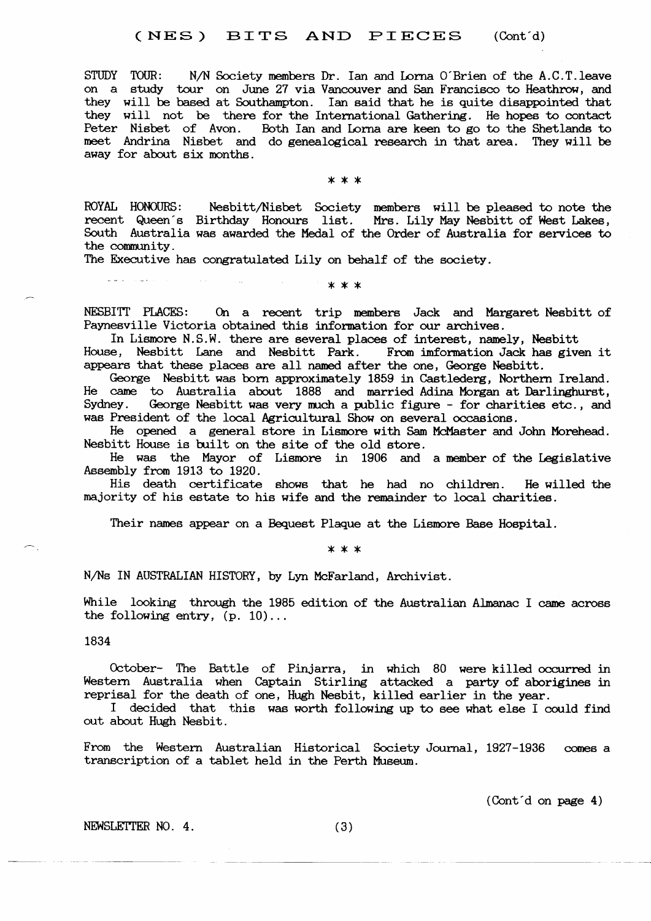STUDY TOUR: N/N Society members Dr. Ian and Lorna O'Brien of the A.C.T. leave on a study tour on June 27 via Vancouver and San Francisco to Heathrow, and they will be based at Southampton. Ian said that he is quite disappointed that they will not be there for the International Gathering. He hopes to contact Peter Nisbet of Avon. Both Ian and Lorna are keen to go to the Shetlands to meet Andrina Nisbet and do genealogical research in that area. They will be away for about six months.

\* \* \*

ROYAL HONOURS: Nesbitt/Nisbet Society members will be pleased to note the recent Queen's Birthday Honours list. Mrs. Lily May Nesbitt of West Lakes, South Australia was awarded the Medal of the Order of Australia for services to the community.

The Executive has congratulated Lily on behalf of the society.

# $* * *$

NESBITT PLACES: On a recent trip members Jack and Margaret Nesbitt of Paynesville Victoria obtained this information for our archives.

In Lismore N.S.W. there are several places of interest, namely, Nesbitt House, Nesbitt Lane and Nesbitt Park. From imformation Jack has given it appears that these places are all named after the one, George Nesbitt.

George Nesbitt was born approximately 1859 in Castlederg, Northern Ireland. He came to Australia about 1888 and married Adina Morgan at Darlinghurst, Sydney. George Nesbitt was very much a public figure - for charities etc., and was President of the local Agricultural Show on several occasions.

He opened a general store in Lismore with Sam McMaster and John Morehead. Nesbitt House is built on the site of the old store.

He was the Mayor of Lismore in 1906 and a member of the Legislative Assembly from 1913 to 1920.

His death certificate shows that he had no children. He willed the majority of his estate to his wife and the remainder to local charities.

Their names appear on a Bequest Plaque at the Lismore Base Hospital.

\* \* \*

N/Ns IN AUSTRALIAN HISTORY, by Lyn McFarland, Archivist.

While looking through the 1985 edition of the Australian Almanac I came across the following entry,  $(p. 10)...$ 

1834

October- The Battle of Pinjarra, in which 80 were killed occurred in Western Australia when Captain Stirling attacked a party of aborigines in reprisal for the death of one, Hugh Nesbit, killed earlier in the year.

I decided that this was worth following up to see what else I could find out about Hugh Nesbit.

From the Western Australian Historical Society Journal, 1927-1936 comes a transcription of a tablet held in the Perth Museum.

(Cont'd on page 4)

NEWSLETTER NO. 4.

 $(3)$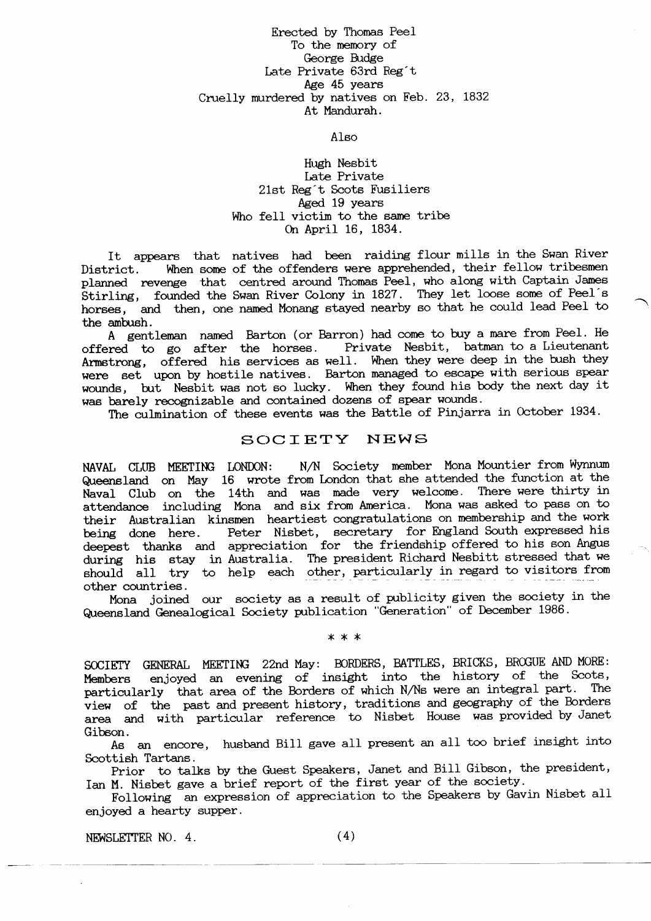# Erected by Thomas Peel To the memory of George Budge Iate Private 63rd Reg't Age 45 years Cruelly murdered by natives on Feb. 23, 1832 At Mandurah.

Also

# Hugh Nesbit Late Private 21st Reg't Scots Fusiliers Aged 19 years Who fell victim to the same tribe On April 16, 1834.

It appears that natives had been raiding flour mills in the Swan River District. When some of the offenders were apprehended, their fellow tribesmen planned revenge that centred around Thomas Peel, who along with Captain James planned revenge that centred around inomas reel, who along with captain banes<br>Stirling, founded the Swan River Colony in 1827. They let loose some of Peel's horses, and then, one named Monang stayed nearby so that he could lead Peel to the ambush.

A gentleman named Barton (or Barron) had come to buy a mare from Peel. He offered to go after the horses. Private Nesbit, batman to a Lieutenant Private Nesbit, batman to a Lieutenant Armstrong, offered his services as well. When they were deep in the bush they were set upon by hostile natives. Barton managed to escape with serious spear wounds, but Nesbit was not so lucky. When they found his body the next day it was barely recognizable and contained dozens of spear wounds.

The culmination of these events was the Battle of Pinjarra in October 1934.

# SOCIETY NEWS

NAVAL CLUB MEETING LONDON: N/N Society member Mona Mountier from Wynnum Queensland on May 16 wrote from London that she attended the function at the Naval Club on the 14th and was made very welcome. There were thirty in attendance including Mona and six from America. Mona was asked to pass on to their Australian kinsmen heartiest congratulations on membership and the work<br>being done here. Peter Nisbet, secretary for England South expressed his Peter Nisbet, secretary for England South expressed his deepest thanks and appreciation for the friendship offered to his son Angus during his stay in Australia. The president Richard Nesbitt stressed that we should all try to help each other, particularly in regard to visitors from other countries.

Mona joined our society as a result of publicity given the society in the Queensland Genealogical Society publication "Generation" of December 1986.

x\*\*

SOCIETY GENERAL MEETING 22nd May: BORDERS, BATTLES, BRICKS, BROGUE AND MORE: Members enjoyed an evening of insight into the history of the Scots, particularly that area of the Borders of which N,/Ns were an integral part. The view of the past and present history, traditions and geography of the Borders area and with particular reference to Nisbet House was provided by Janet Gibson.

As an encore, husband Bill gave all present an all too brief insight into Scottish Tartans.

prior to talks by the Guest Speakers, Janet and BiIl Gibson, the president, Ian M. Nisbet gave a brief report of the first year of the society.

Following an expression of appreciation to the Speakers by Gavin Nisbet all enjoyed a hearty supper.

 $NEWSLETTER NO. 4.$   $(4)$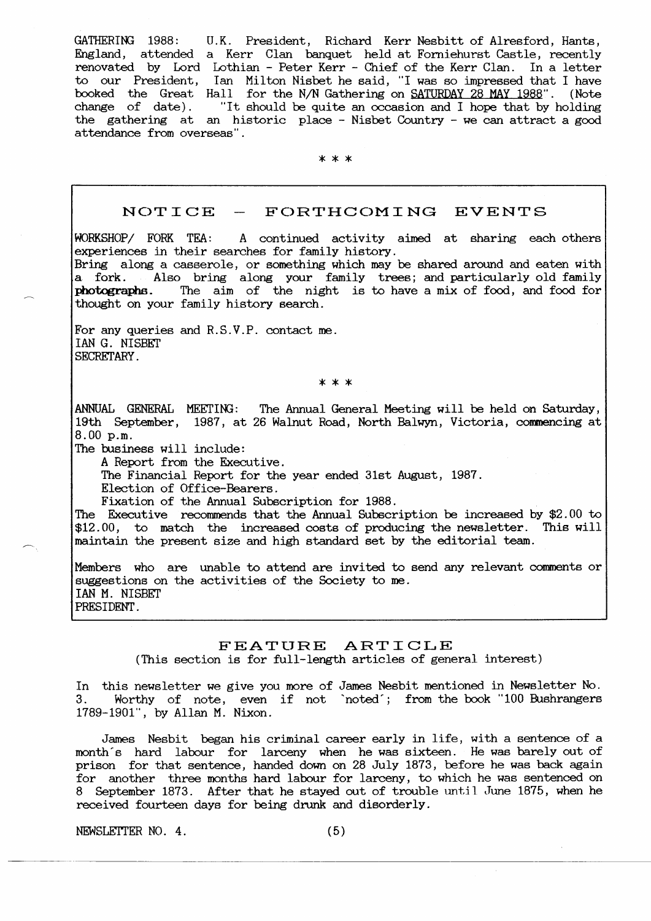GATHERING 1988: U.K. President, Richard Kerr Nesbitt of Alresford, Hants, England, attended a Kerr Clan banquet held at Forniehurst Castle, recently renovated by Lord Lothian - Peter Kerr - Chief of the Kerr Clan. In a letter to our President, Ian Milton Nisbet he said, "I was so funpressed that I have booked the Great Hall for the N/N Gathering on <u>SATURDAY 28 MAY 1988</u>". (Note change of date). "ft should be quite an occasion and I hope that by holding the gathering at an historic place - Nisbet Country - we can attract a good attendance from overseas".

x\*\*

# $NOTICE$  -  $FORTHCOMMING$  EVENTS

h0RKSHOP/ FORK TEA: A continued activity aimed at sharing each others experiences in their searches for family history. Bring along a casserole, or something which may be shared around and eaten with a fork. Also bring along your family trees; and particularly old family photographs. The aim of the night is to have a mix of food, and food for thought on your family history search.

For any queries and R.S.V.P. contact me, IAN G. NISBET SECRETARY.

'\*\*\*

AI{NUAL GENERAL MEETIIG: The Annual General Meetbg will be held on Saturday, 19th September, 1987, at 26 Walnut Road, North Balwyn, Victoria, commencing at 8.00 p.m.

The business will include:

A Report from the Executive.

The Financial Report for the year ended 31st August, 1987.

Election of Office-Bearers.

Fixation of the Annual Subscription for 1988

The Executive recommends that the Annual Subscription be increased by \$2.00 to  $$12.00$ , to match the increased costs of producing the newsletter. This will maintain the present size and high standard set by the editorial team.

Members who are unable to attend are invited to send any relevant comments or suggestions on the activities of the Society to me. IAN M. NISBET PRESIDENT.

# FEATURE ARTICLE

(This section is for full-length articles of general interest)

In this newsletter we give you more of James Nesbit mentioned in Newsletter No. 3. Worthy of note, even if not 'noted'; from the book "100 Bushrangers 1789-1901", by Al1an M. Nixon.

James Nesbit began his criminal career early in life, with a sentence of a month"s hard labour for larceny when he was sixteen. He was barely out of prison for that sentence, handed down on 28 July 1873, before he was back again for another three months hard labour for larceny, to which he was sentenced on 8 September 1873. After that he stayed out of trouble until June 1875, when he received fourteen days for being drunk and disorderly.

 $NEWSLETTER NO. 4.$  (5)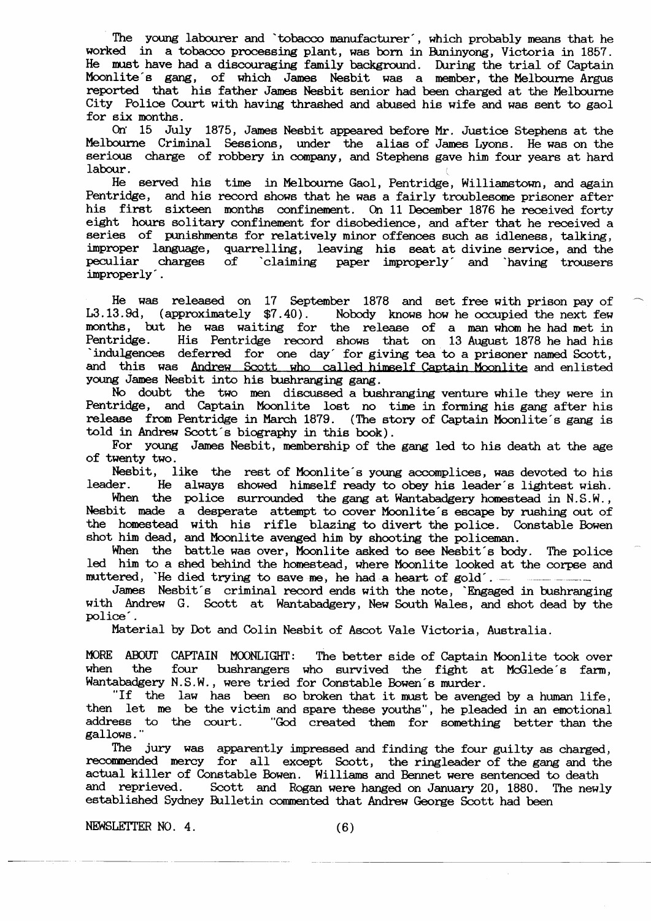The young labourer and 'tobacco manufacturer', which probably means that he worked in a tobacco processing plant, was born in Buninyong, Victoria in 1857. He must have had a discouraging family background. During the trial of Captain Moonlite's gang, of which James Nesbit was a member, the Melbourne Argus reported that his father James Nesbit senior had been charged at the Melbourne City Police Court with having thrashed and abused his wife and was sent to gaol for six months.

On' 15 July 1875, James Nesbit appeared before Mr. Justice Stephens at the Melbourne Criminal Sessions, under the alias of James Lyons. He was on the serious charge of robbery in company, and Stephens gave him four years at hard labour. labour.

He served his time in Melbourne Gaol, Pentridge, Williamstown, and again Pentridge, and his record shows that he was a fairly troublesome prisoner after his first sixteen months confinement. On 11 December 1876 he received forty eight hours solitary confinement for disobedience, and after that he received a series of punishments for relatively minor offences such as idleness, talking, improper language, quarrelling, leaving his seat-at-divine-service, and the peculiar charges of `claiming paper improperly´ and `having trousers improperly' . paper improperly and `having trousers

He was released on 17 September 1878 and set free with prison pay of L3.13.9d, (approximately \$7.40). Nobody knows how he occupied the next few Nobody knows how he occupied the next few months, but he was waiting for the release of a man whom he had met in Pentridge. His Pentridge record shows that on 13 August 1878 he had his Indulgences deferred for one day for giving tea to a prisoner named Scott, and this was Andrew Scott who called himself Captain Moonlite and enlisted young James Nesbit into his bushranging gang.

No doubt the two men discussed a bushranging venture while they were in Pentridge, and Captain Moonlite lost no time in forming his gang after his release from Pentridge in March 1879. (The story of Captain Moonlite's gang is told in Andrew Scott's biography in this book).

For young James Nesbit, membership of the gang led to his death at the age of twenty two.

Nesbit, like the rest of Moonlite's young accomplices, was devoted to his leader. He always showed himself ready to obey his leader's lightest wish. leader. He always showed himself ready to obey his leader's lightest wish.

When the police surrounded the gang at Wantabadgery homestead in  $N.S.W.$  , Nesbit made a desperate attempt to cover Moonlite's escape by rushing out of the homestead with his rifle blazing to divert the police. Constable Bowen shot him dead, and Moonlite avenged him by shooting the policeman.

When the battle was over, Moonlite asked to see Nesbit's body. The police led him to a shed behind the homestead, where Moonlite looked at the corpse and muttered, 'He died trying to save me, he had a heart of  $gold$ '.  $-$ 

James Nesbit's criminal record ends with the note, 'Engaged in hrshranging with Andrew G. Scott at Wantabadgery, New South Wales, and shot dead by the police'.

Material by Dot and Colin Nesbit of Ascot Vale Victoria, Australia.

MORE ABOUT CAPTAIN MOONLIGHT: The better side of Captain Moonlite took over<br>when the four bushrangers who survived the fight at McGlede's farm. when the four bushrangers who survived the fight at McGlede's farm,<br>Wantabadgery N.S.W., were tried for Constable Bowen's murder.

"If the law has been so broken that it must be avenged by a human life, then let me be the victim and spare these youths", he pleaded in an emotional address to the court. "God created them for something better than the the court. "God created them for something better than the gallowe. "

The jury was apparently impressed and finding the four guilty as charged, recommended mercy for all except Scott, the ringleader of the gang and the actual killer of Constable Bowen. Williame and Bennet were sentenced to death Scott and Rogan were hanged on January 20, 1880. The newly established Sydney Bulletin commented that Andrew George Scott had been

NEWSLETTER NO.  $4.$  (6)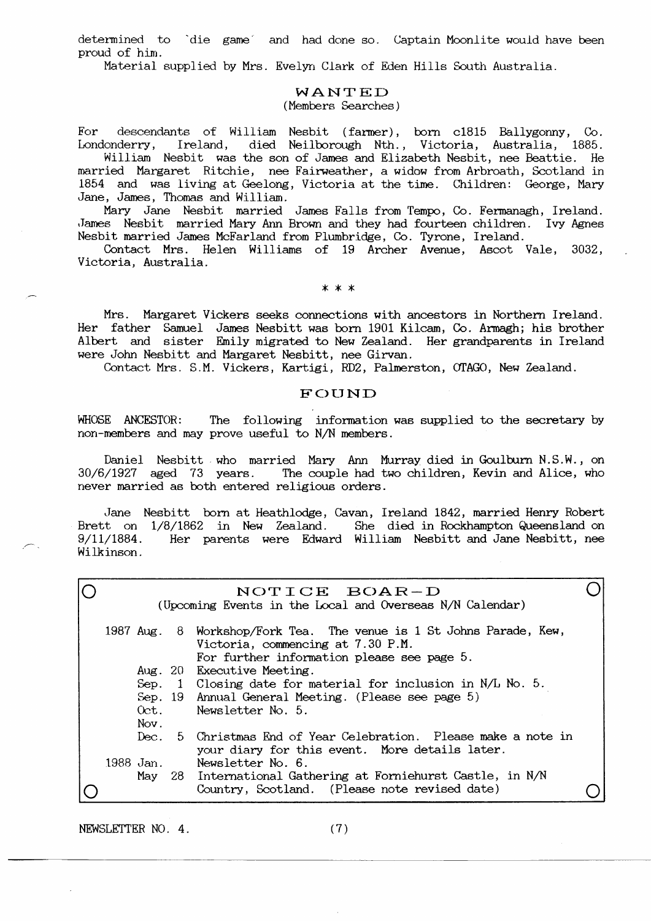determined to `die game` and had done so. Captain Moonlite would have been proud of him.

Material supplied by Mrs. Evelyn Clark of Eden Hills South Australia.

### WANTED (Members Searches)

 $For$ descendants of William Nesbit (farmer), born c1815 Ballygonny, Co. Londonderry, Ireland, died Neilborough Nth., Victoria, Australia, 1885.

William Nesbit was the son of James and Elizabeth Nesbit, nee Beattie. He married Margaret Ritchie, nee Fairweather, a widow from Arbroath, Scotland in 1854 and was living at Geelong, Victoria at the time. Children: George, Mary Jane, James, Thomas and William.

Mary Jane Nesbit married James Falls from Tempo, Co. Fermanagh, Ireland. James Nesbit married Mary Ann Brown and they had fourteen children. Ivy Agnes Nesbit married James McFarland from Plumbridge, Co. Tyrone, Ireland.

Contact Mrs. Helen Williams of 19 Archer Avenue, Ascot Vale, 3032. Victoria, Australia.

 $* * *$ 

Mrs. Margaret Vickers seeks connections with ancestors in Northern Ireland. Her father Samuel James Nesbitt was born 1901 Kilcam, Co. Armagh; his brother Albert and sister Emily migrated to New Zealand. Her grandparents in Ireland were John Nesbitt and Margaret Nesbitt, nee Girvan.

Contact Mrs. S.M. Vickers, Kartigi, RD2, Palmerston, OTAGO, New Zealand.

# FOUND

WHOSE ANCESTOR: The following information was supplied to the secretary by non-members and may prove useful to N/N members.

Daniel Nesbitt who married Mary Ann Murray died in Goulburn N.S.W., on The couple had two children, Kevin and Alice, who 30/6/1927 aged 73 years. never married as both entered religious orders.

Jane Nesbitt born at Heathlodge, Cavan, Ireland 1842, married Henry Robert Brett on 1/8/1862 in New Zealand. She died in Rockhampton Queensland on Her parents were Edward William Nesbitt and Jane Nesbitt, nee  $9/11/1884$ . Wilkinson.

|           | NOTICE BOAR-D<br>(Upcoming Events in the Local and Overseas N/N Calendar) |  |                                                                                                                                                        |  |
|-----------|---------------------------------------------------------------------------|--|--------------------------------------------------------------------------------------------------------------------------------------------------------|--|
|           |                                                                           |  | 1987 Aug. 8 Workshop/Fork Tea. The venue is 1 St Johns Parade, Kew,<br>Victoria, commencing at 7.30 P.M.<br>For further information please see page 5. |  |
|           |                                                                           |  | Aug. 20 Executive Meeting.                                                                                                                             |  |
|           |                                                                           |  | Sep. 1 Closing date for material for inclusion in $N/L$ No. 5.                                                                                         |  |
|           |                                                                           |  | Sep. 19 Annual General Meeting. (Please see page 5)                                                                                                    |  |
|           | Oet.                                                                      |  | Newsletter No. 5.                                                                                                                                      |  |
|           | Nov.                                                                      |  |                                                                                                                                                        |  |
|           | Dec.                                                                      |  | 5 Christmas End of Year Celebration. Please make a note in<br>your diary for this event. More details later.                                           |  |
| 1988 Jan. |                                                                           |  | Newsletter No. 6.                                                                                                                                      |  |
|           | May                                                                       |  | 28 International Gathering at Forniehurst Castle, in N/N                                                                                               |  |
|           |                                                                           |  | Country, Scotland. (Please note revised date)                                                                                                          |  |
|           |                                                                           |  |                                                                                                                                                        |  |

NEWSLETTER NO. 4.